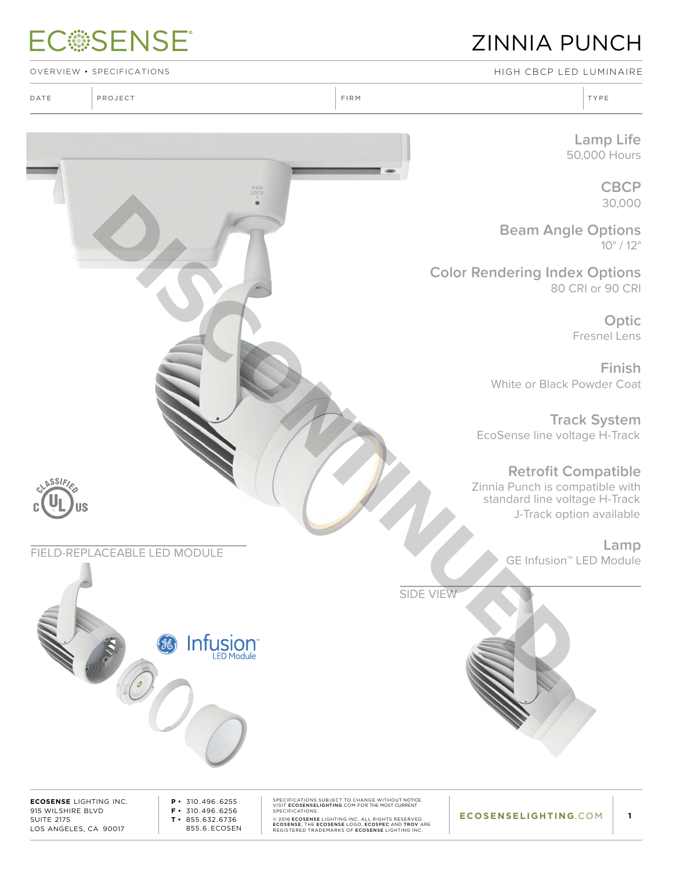# **ECSSENSE®**

### ZINNIA PUNCH

OVERVIEW • SPECIFICATIONS High CBCP LED Luminaire

**Lamp Life** 50,000 Hours

> **CBCP** 30,000

**Beam Angle Options** 10° / 12°

**Color Rendering Index Options** 80 CRI or 90 CRI

> **Optic** Fresnel Lens

**Finish** White or Black Powder Coat

**Track System** EcoSense line voltage H-Track

**Retrofit Compatible**

Zinnia Punch is compatible with standard line voltage H-Track J-Track option available

**Lamp**  GE Infusion™ LED Module FIELD-REPLACEABLE LED MODULE



**ECOSENSE** LIGHTING INC. 915 WILSHIRE BLVD SUITE 2175 LOS ANGELES, CA 90017

**NSSIFI** 

**P •** 310.496 . 6255 **F •** 310.496 . 6256 **T •** 855.632.6736 855.6 . ECOSEN SPECIFICATIONS SUBJECT TO CHANGE WITHOUT NOTICE.<br>SPECIFICATIONS.<br>SPECIFICATIONS.<br>© 2016 ECOSENSE LIGHTING INC. ALL RIGHTS RESERVED.<br>ECOSENSE, THE ECOSENSE LOGO, ECOSEPE AND TROV ARE<br>REGISTERED TRADEMARKS OF ECOSENSE LIGHTI

SIDE VIEW

**ECOSENSELIGHTING**.COM

**1**